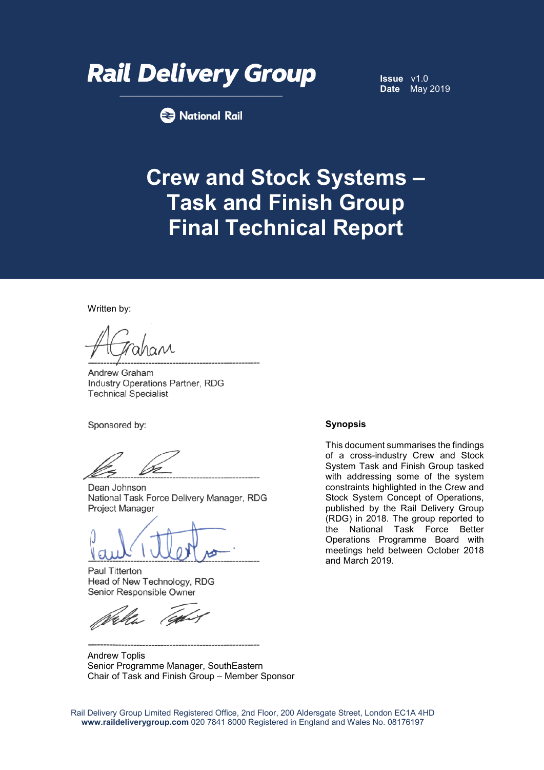

**Issue** v1.0 **Date** May 2019

**B** National Rail

# **Crew and Stock Systems – Task and Finish Group Final Technical Report**

Written bv:

---------------------------------------------------------

Andrew Graham Industry Operations Partner, RDG Technical Specialist

Sponsored by:

---------------------------------------------------------

Dean Johnson National Task Force Delivery Manager, RDG Project Manager

---------------------------------------------------------

Paul Titterton Head of New Technology, RDG Senior Responsible Owner

--------------------------------------------------------- Andrew Toplis Senior Programme Manager, SouthEastern Chair of Task and Finish Group – Member Sponsor

#### **Synopsis**

This document summarises the findings of a cross-industry Crew and Stock System Task and Finish Group tasked with addressing some of the system constraints highlighted in the Crew and Stock System Concept of Operations, published by the Rail Delivery Group (RDG) in 2018. The group reported to the National Task Force Better Operations Programme Board with meetings held between October 2018 and March 2019.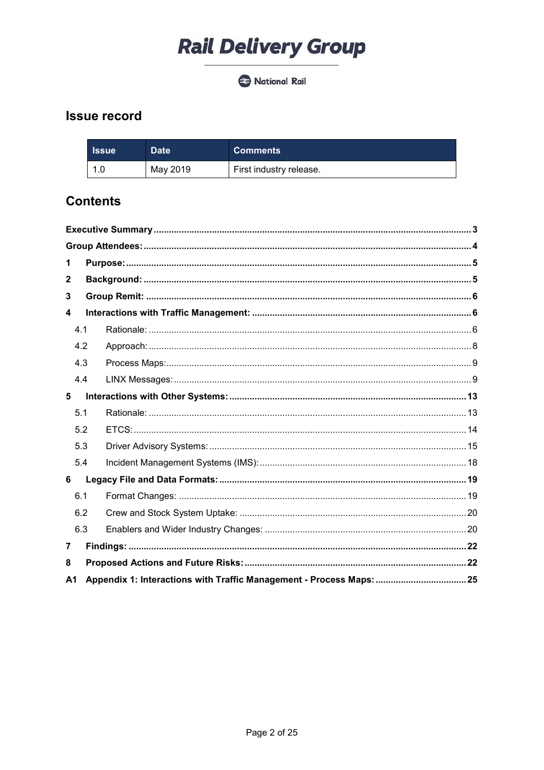#### National Rail

### **Issue record**

| <b>Issue</b> | Date <sup>1</sup> | <b>Comments</b>         |
|--------------|-------------------|-------------------------|
|              | May 2019          | First industry release. |

### **Contents**

| 1              |     |                                                                      |  |  |  |  |  |
|----------------|-----|----------------------------------------------------------------------|--|--|--|--|--|
| 2              |     |                                                                      |  |  |  |  |  |
| 3              |     |                                                                      |  |  |  |  |  |
| 4              |     |                                                                      |  |  |  |  |  |
|                | 4.1 |                                                                      |  |  |  |  |  |
|                | 4.2 |                                                                      |  |  |  |  |  |
|                | 4.3 |                                                                      |  |  |  |  |  |
|                | 4.4 |                                                                      |  |  |  |  |  |
| 5              |     |                                                                      |  |  |  |  |  |
|                | 5.1 |                                                                      |  |  |  |  |  |
|                | 5.2 |                                                                      |  |  |  |  |  |
|                | 5.3 |                                                                      |  |  |  |  |  |
|                | 5.4 |                                                                      |  |  |  |  |  |
| 6              |     |                                                                      |  |  |  |  |  |
|                | 6.1 |                                                                      |  |  |  |  |  |
|                | 6.2 |                                                                      |  |  |  |  |  |
|                | 6.3 |                                                                      |  |  |  |  |  |
| 7              |     |                                                                      |  |  |  |  |  |
| 8              |     |                                                                      |  |  |  |  |  |
| A <sub>1</sub> |     | Appendix 1: Interactions with Traffic Management - Process Maps:  25 |  |  |  |  |  |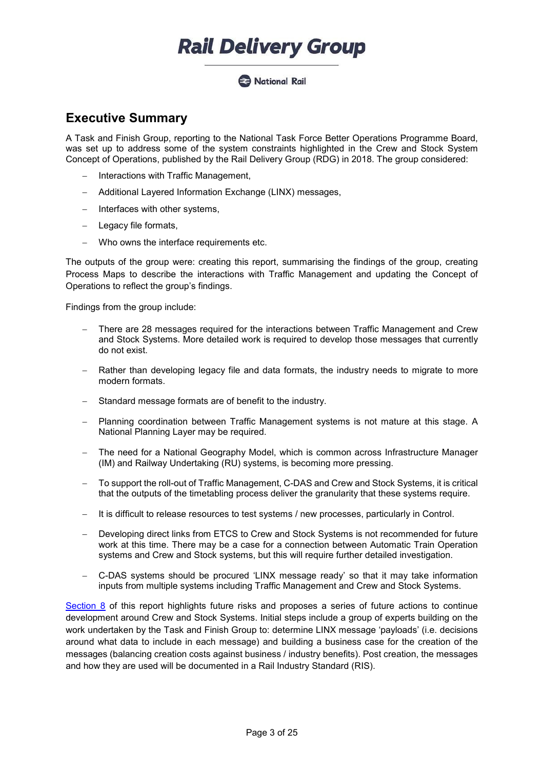#### National Rail

### <span id="page-2-0"></span>**Executive Summary**

A Task and Finish Group, reporting to the National Task Force Better Operations Programme Board, was set up to address some of the system constraints highlighted in the Crew and Stock System Concept of Operations, published by the Rail Delivery Group (RDG) in 2018. The group considered:

- − Interactions with Traffic Management,
- − Additional Layered Information Exchange (LINX) messages,
- − Interfaces with other systems,
- Legacy file formats,
- − Who owns the interface requirements etc.

The outputs of the group were: creating this report, summarising the findings of the group, creating Process Maps to describe the interactions with Traffic Management and updating the Concept of Operations to reflect the group's findings.

Findings from the group include:

- There are 28 messages required for the interactions between Traffic Management and Crew and Stock Systems. More detailed work is required to develop those messages that currently do not exist.
- Rather than developing legacy file and data formats, the industry needs to migrate to more modern formats.
- Standard message formats are of benefit to the industry.
- − Planning coordination between Traffic Management systems is not mature at this stage. A National Planning Layer may be required.
- − The need for a National Geography Model, which is common across Infrastructure Manager (IM) and Railway Undertaking (RU) systems, is becoming more pressing.
- − To support the roll-out of Traffic Management, C-DAS and Crew and Stock Systems, it is critical that the outputs of the timetabling process deliver the granularity that these systems require.
- − It is difficult to release resources to test systems / new processes, particularly in Control.
- Developing direct links from ETCS to Crew and Stock Systems is not recommended for future work at this time. There may be a case for a connection between Automatic Train Operation systems and Crew and Stock systems, but this will require further detailed investigation.
- − C-DAS systems should be procured 'LINX message ready' so that it may take information inputs from multiple systems including Traffic Management and Crew and Stock Systems.

[Section 8](#page-21-1) of this report highlights future risks and proposes a series of future actions to continue development around Crew and Stock Systems. Initial steps include a group of experts building on the work undertaken by the Task and Finish Group to: determine LINX message 'payloads' (i.e. decisions around what data to include in each message) and building a business case for the creation of the messages (balancing creation costs against business / industry benefits). Post creation, the messages and how they are used will be documented in a Rail Industry Standard (RIS).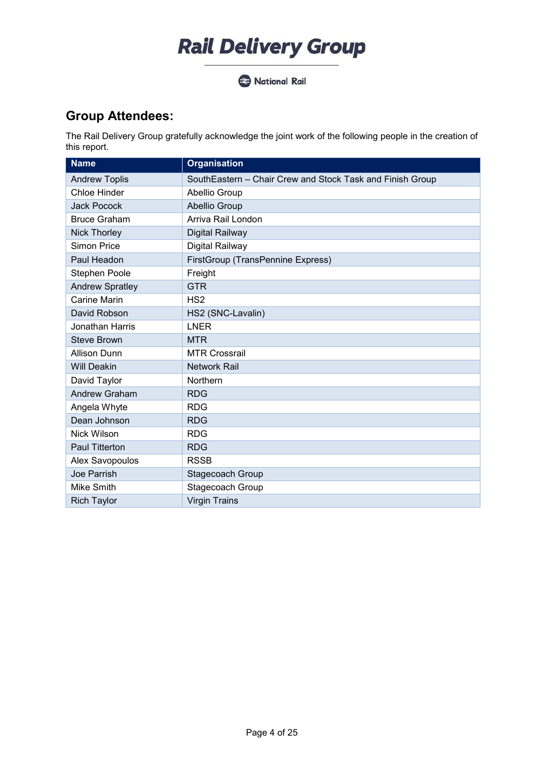National Rail

### <span id="page-3-0"></span>**Group Attendees:**

The Rail Delivery Group gratefully acknowledge the joint work of the following people in the creation of this report.

| <b>Name</b>            | <b>Organisation</b>                                       |
|------------------------|-----------------------------------------------------------|
| <b>Andrew Toplis</b>   | SouthEastern - Chair Crew and Stock Task and Finish Group |
| <b>Chloe Hinder</b>    | Abellio Group                                             |
| <b>Jack Pocock</b>     | Abellio Group                                             |
| <b>Bruce Graham</b>    | Arriva Rail London                                        |
| <b>Nick Thorley</b>    | Digital Railway                                           |
| Simon Price            | Digital Railway                                           |
| Paul Headon            | FirstGroup (TransPennine Express)                         |
| <b>Stephen Poole</b>   | Freight                                                   |
| <b>Andrew Spratley</b> | <b>GTR</b>                                                |
| <b>Carine Marin</b>    | HS <sub>2</sub>                                           |
| David Robson           | HS2 (SNC-Lavalin)                                         |
| Jonathan Harris        | <b>LNER</b>                                               |
| <b>Steve Brown</b>     | <b>MTR</b>                                                |
| <b>Allison Dunn</b>    | <b>MTR Crossrail</b>                                      |
| <b>Will Deakin</b>     | <b>Network Rail</b>                                       |
| David Taylor           | Northern                                                  |
| <b>Andrew Graham</b>   | <b>RDG</b>                                                |
| Angela Whyte           | <b>RDG</b>                                                |
| Dean Johnson           | <b>RDG</b>                                                |
| <b>Nick Wilson</b>     | <b>RDG</b>                                                |
| <b>Paul Titterton</b>  | <b>RDG</b>                                                |
| Alex Savopoulos        | <b>RSSB</b>                                               |
| Joe Parrish            | Stagecoach Group                                          |
| Mike Smith             | Stagecoach Group                                          |
| <b>Rich Taylor</b>     | <b>Virgin Trains</b>                                      |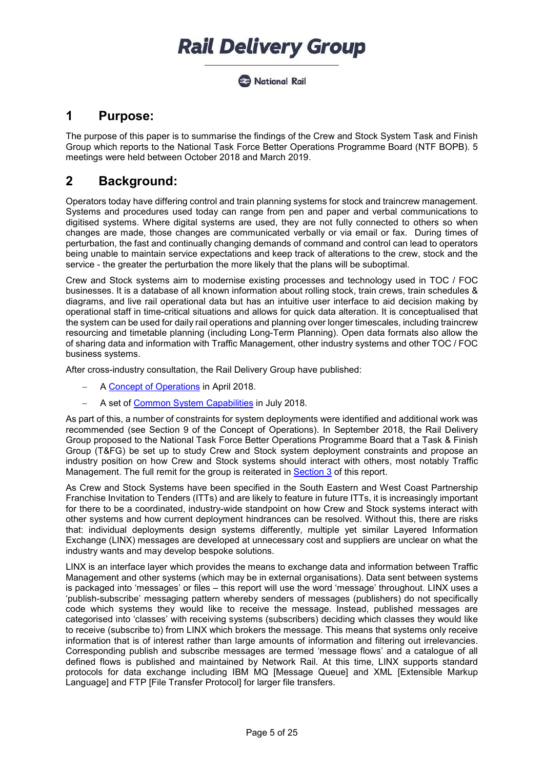**2** National Rail

### <span id="page-4-0"></span>**1 Purpose:**

The purpose of this paper is to summarise the findings of the Crew and Stock System Task and Finish Group which reports to the National Task Force Better Operations Programme Board (NTF BOPB). 5 meetings were held between October 2018 and March 2019.

### <span id="page-4-1"></span>**2 Background:**

Operators today have differing control and train planning systems for stock and traincrew management. Systems and procedures used today can range from pen and paper and verbal communications to digitised systems. Where digital systems are used, they are not fully connected to others so when changes are made, those changes are communicated verbally or via email or fax. During times of perturbation, the fast and continually changing demands of command and control can lead to operators being unable to maintain service expectations and keep track of alterations to the crew, stock and the service - the greater the perturbation the more likely that the plans will be suboptimal.

Crew and Stock systems aim to modernise existing processes and technology used in TOC / FOC businesses. It is a database of all known information about rolling stock, train crews, train schedules & diagrams, and live rail operational data but has an intuitive user interface to aid decision making by operational staff in time-critical situations and allows for quick data alteration. It is conceptualised that the system can be used for daily rail operations and planning over longer timescales, including traincrew resourcing and timetable planning (including Long-Term Planning). Open data formats also allow the of sharing data and information with Traffic Management, other industry systems and other TOC / FOC business systems.

After cross-industry consultation, the Rail Delivery Group have published:

- − A [Concept of Operations](https://www.raildeliverygroup.com/about-us/publications.html?task=file.download&id=469774005) in April 2018.
- − A set of [Common System Capabilities](https://www.raildeliverygroup.com/about-us/publications.html?task=file.download&id=469774289) in July 2018.

As part of this, a number of constraints for system deployments were identified and additional work was recommended (see Section 9 of the Concept of Operations). In September 2018, the Rail Delivery Group proposed to the National Task Force Better Operations Programme Board that a Task & Finish Group (T&FG) be set up to study Crew and Stock system deployment constraints and propose an industry position on how Crew and Stock systems should interact with others, most notably Traffic Management. The full remit for the group is reiterated in [Section 3](#page-5-0) of this report.

As Crew and Stock Systems have been specified in the South Eastern and West Coast Partnership Franchise Invitation to Tenders (ITTs) and are likely to feature in future ITTs, it is increasingly important for there to be a coordinated, industry-wide standpoint on how Crew and Stock systems interact with other systems and how current deployment hindrances can be resolved. Without this, there are risks that: individual deployments design systems differently, multiple yet similar Layered Information Exchange (LINX) messages are developed at unnecessary cost and suppliers are unclear on what the industry wants and may develop bespoke solutions.

LINX is an interface layer which provides the means to exchange data and information between Traffic Management and other systems (which may be in external organisations). Data sent between systems is packaged into 'messages' or files – this report will use the word 'message' throughout. LINX uses a 'publish-subscribe' messaging pattern whereby senders of messages (publishers) do not specifically code which systems they would like to receive the message. Instead, published messages are categorised into 'classes' with receiving systems (subscribers) deciding which classes they would like to receive (subscribe to) from LINX which brokers the message. This means that systems only receive information that is of interest rather than large amounts of information and filtering out irrelevancies. Corresponding publish and subscribe messages are termed 'message flows' and a catalogue of all defined flows is published and maintained by Network Rail. At this time, LINX supports standard protocols for data exchange including IBM MQ [Message Queue] and XML [Extensible Markup Language] and FTP [File Transfer Protocol] for larger file transfers.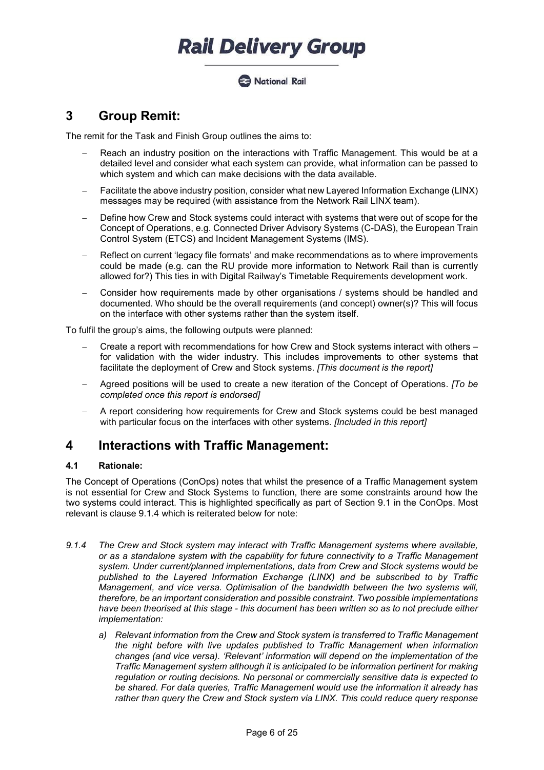#### **23 National Rail**

### <span id="page-5-0"></span>**3 Group Remit:**

The remit for the Task and Finish Group outlines the aims to:

- Reach an industry position on the interactions with Traffic Management. This would be at a detailed level and consider what each system can provide, what information can be passed to which system and which can make decisions with the data available.
- − Facilitate the above industry position, consider what new Layered Information Exchange (LINX) messages may be required (with assistance from the Network Rail LINX team).
- Define how Crew and Stock systems could interact with systems that were out of scope for the Concept of Operations, e.g. Connected Driver Advisory Systems (C-DAS), the European Train Control System (ETCS) and Incident Management Systems (IMS).
- Reflect on current 'legacy file formats' and make recommendations as to where improvements could be made (e.g. can the RU provide more information to Network Rail than is currently allowed for?) This ties in with Digital Railway's Timetable Requirements development work.
- − Consider how requirements made by other organisations / systems should be handled and documented. Who should be the overall requirements (and concept) owner(s)? This will focus on the interface with other systems rather than the system itself.

To fulfil the group's aims, the following outputs were planned:

- − Create a report with recommendations for how Crew and Stock systems interact with others for validation with the wider industry. This includes improvements to other systems that facilitate the deployment of Crew and Stock systems. *[This document is the report]*
- − Agreed positions will be used to create a new iteration of the Concept of Operations. *[To be completed once this report is endorsed]*
- − A report considering how requirements for Crew and Stock systems could be best managed with particular focus on the interfaces with other systems. *[Included in this report]*

### <span id="page-5-1"></span>**4 Interactions with Traffic Management:**

#### <span id="page-5-2"></span>**4.1 Rationale:**

The Concept of Operations (ConOps) notes that whilst the presence of a Traffic Management system is not essential for Crew and Stock Systems to function, there are some constraints around how the two systems could interact. This is highlighted specifically as part of Section 9.1 in the ConOps. Most relevant is clause 9.1.4 which is reiterated below for note:

- *9.1.4 The Crew and Stock system may interact with Traffic Management systems where available, or as a standalone system with the capability for future connectivity to a Traffic Management system. Under current/planned implementations, data from Crew and Stock systems would be published to the Layered Information Exchange (LINX) and be subscribed to by Traffic Management, and vice versa. Optimisation of the bandwidth between the two systems will, therefore, be an important consideration and possible constraint. Two possible implementations have been theorised at this stage - this document has been written so as to not preclude either implementation:* 
	- *a) Relevant information from the Crew and Stock system is transferred to Traffic Management the night before with live updates published to Traffic Management when information changes (and vice versa). 'Relevant' information will depend on the implementation of the Traffic Management system although it is anticipated to be information pertinent for making regulation or routing decisions. No personal or commercially sensitive data is expected to be shared. For data queries, Traffic Management would use the information it already has rather than query the Crew and Stock system via LINX. This could reduce query response*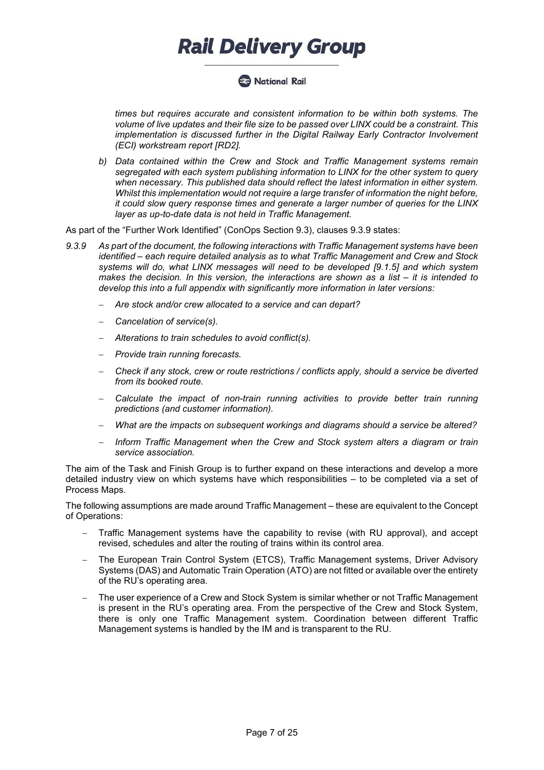#### **2** National Rail

*times but requires accurate and consistent information to be within both systems. The volume of live updates and their file size to be passed over LINX could be a constraint. This implementation is discussed further in the Digital Railway Early Contractor Involvement (ECI) workstream report [RD2].* 

*b) Data contained within the Crew and Stock and Traffic Management systems remain segregated with each system publishing information to LINX for the other system to query when necessary. This published data should reflect the latest information in either system. Whilst this implementation would not require a large transfer of information the night before, it could slow query response times and generate a larger number of queries for the LINX layer as up-to-date data is not held in Traffic Management.*

As part of the "Further Work Identified" (ConOps Section 9.3), clauses 9.3.9 states:

- *9.3.9 As part of the document, the following interactions with Traffic Management systems have been identified – each require detailed analysis as to what Traffic Management and Crew and Stock systems will do, what LINX messages will need to be developed [9.1.5] and which system makes the decision. In this version, the interactions are shown as a list – it is intended to develop this into a full appendix with significantly more information in later versions:* 
	- − *Are stock and/or crew allocated to a service and can depart?*
	- − *Cancelation of service(s).*
	- − *Alterations to train schedules to avoid conflict(s).*
	- − *Provide train running forecasts.*
	- − *Check if any stock, crew or route restrictions / conflicts apply, should a service be diverted from its booked route.*
	- − *Calculate the impact of non-train running activities to provide better train running predictions (and customer information).*
	- − *What are the impacts on subsequent workings and diagrams should a service be altered?*
	- − *Inform Traffic Management when the Crew and Stock system alters a diagram or train service association.*

The aim of the Task and Finish Group is to further expand on these interactions and develop a more detailed industry view on which systems have which responsibilities – to be completed via a set of Process Maps.

The following assumptions are made around Traffic Management – these are equivalent to the Concept of Operations:

- − Traffic Management systems have the capability to revise (with RU approval), and accept revised, schedules and alter the routing of trains within its control area.
- The European Train Control System (ETCS), Traffic Management systems, Driver Advisory Systems (DAS) and Automatic Train Operation (ATO) are not fitted or available over the entirety of the RU's operating area.
- The user experience of a Crew and Stock System is similar whether or not Traffic Management is present in the RU's operating area. From the perspective of the Crew and Stock System, there is only one Traffic Management system. Coordination between different Traffic Management systems is handled by the IM and is transparent to the RU.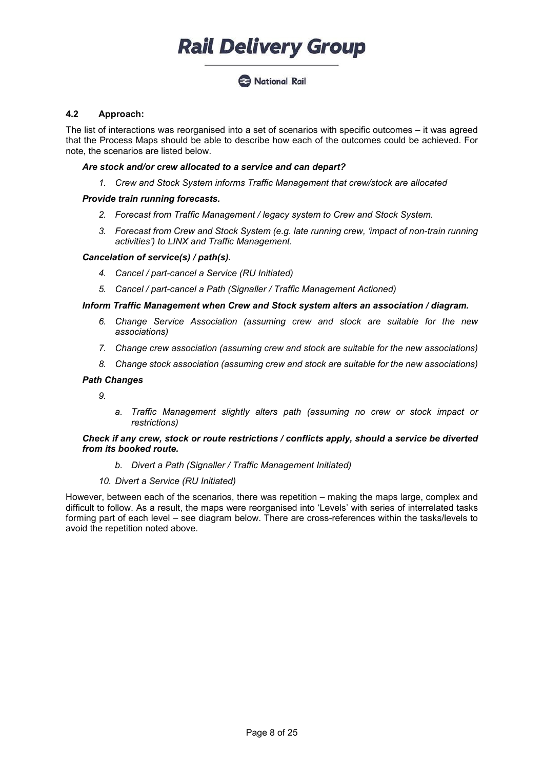#### National Rail

#### <span id="page-7-0"></span>**4.2 Approach:**

The list of interactions was reorganised into a set of scenarios with specific outcomes – it was agreed that the Process Maps should be able to describe how each of the outcomes could be achieved. For note, the scenarios are listed below.

#### *Are stock and/or crew allocated to a service and can depart?*

*1. Crew and Stock System informs Traffic Management that crew/stock are allocated*

#### *Provide train running forecasts.*

- *2. Forecast from Traffic Management / legacy system to Crew and Stock System.*
- *3. Forecast from Crew and Stock System (e.g. late running crew, 'impact of non-train running activities') to LINX and Traffic Management.*

#### *Cancelation of service(s) / path(s).*

- *4. Cancel / part-cancel a Service (RU Initiated)*
- *5. Cancel / part-cancel a Path (Signaller / Traffic Management Actioned)*

#### *Inform Traffic Management when Crew and Stock system alters an association / diagram.*

- *6. Change Service Association (assuming crew and stock are suitable for the new associations)*
- *7. Change crew association (assuming crew and stock are suitable for the new associations)*
- *8. Change stock association (assuming crew and stock are suitable for the new associations)*

#### *Path Changes*

*9.*

*a. Traffic Management slightly alters path (assuming no crew or stock impact or restrictions)*

#### *Check if any crew, stock or route restrictions / conflicts apply, should a service be diverted from its booked route.*

- *b. Divert a Path (Signaller / Traffic Management Initiated)*
- *10. Divert a Service (RU Initiated)*

However, between each of the scenarios, there was repetition – making the maps large, complex and difficult to follow. As a result, the maps were reorganised into 'Levels' with series of interrelated tasks forming part of each level – see diagram below. There are cross-references within the tasks/levels to avoid the repetition noted above.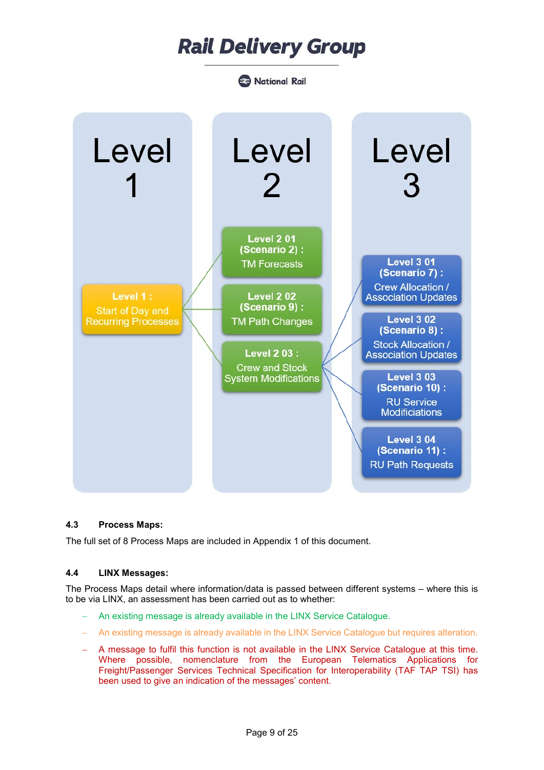**2** National Rail



#### <span id="page-8-0"></span>**4.3 Process Maps:**

The full set of 8 Process Maps are included in Appendix 1 of this document.

#### <span id="page-8-1"></span>**4.4 LINX Messages:**

The Process Maps detail where information/data is passed between different systems – where this is to be via LINX, an assessment has been carried out as to whether:

- − An existing message is already available in the LINX Service Catalogue.
- − An existing message is already available in the LINX Service Catalogue but requires alteration.
- − A message to fulfil this function is not available in the LINX Service Catalogue at this time. Where possible, nomenclature from the European Telematics Applications for Freight/Passenger Services Technical Specification for Interoperability (TAF TAP TSI) has been used to give an indication of the messages' content.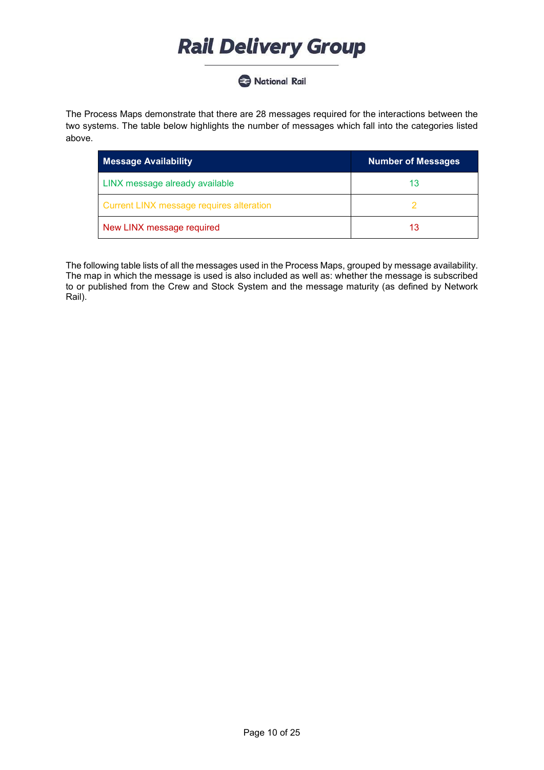#### National Rail

The Process Maps demonstrate that there are 28 messages required for the interactions between the two systems. The table below highlights the number of messages which fall into the categories listed above.

| <b>Message Availability</b>                     | <b>Number of Messages</b> |
|-------------------------------------------------|---------------------------|
| LINX message already available                  | 13                        |
| <b>Current LINX message requires alteration</b> |                           |
| New LINX message required                       | 13                        |

The following table lists of all the messages used in the Process Maps, grouped by message availability. The map in which the message is used is also included as well as: whether the message is subscribed to or published from the Crew and Stock System and the message maturity (as defined by Network Rail).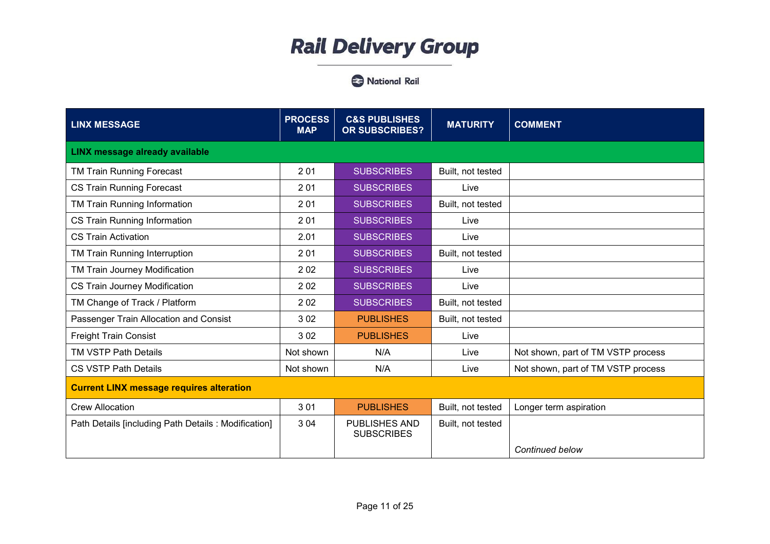National Rail

| <b>LINX MESSAGE</b>                                  | <b>PROCESS</b><br><b>MAP</b> | <b>C&amp;S PUBLISHES</b><br><b>OR SUBSCRIBES?</b> | <b>MATURITY</b>   | <b>COMMENT</b>                     |
|------------------------------------------------------|------------------------------|---------------------------------------------------|-------------------|------------------------------------|
| <b>LINX message already available</b>                |                              |                                                   |                   |                                    |
| TM Train Running Forecast                            | 201                          | <b>SUBSCRIBES</b>                                 | Built, not tested |                                    |
| <b>CS Train Running Forecast</b>                     | 201                          | <b>SUBSCRIBES</b>                                 | Live              |                                    |
| TM Train Running Information                         | 201                          | <b>SUBSCRIBES</b>                                 | Built, not tested |                                    |
| CS Train Running Information                         | 201                          | <b>SUBSCRIBES</b>                                 | Live              |                                    |
| <b>CS Train Activation</b>                           | 2.01                         | <b>SUBSCRIBES</b>                                 | Live              |                                    |
| TM Train Running Interruption                        | 201                          | <b>SUBSCRIBES</b>                                 | Built, not tested |                                    |
| TM Train Journey Modification                        | 202                          | <b>SUBSCRIBES</b>                                 | Live              |                                    |
| CS Train Journey Modification                        | 202                          | <b>SUBSCRIBES</b>                                 | Live              |                                    |
| TM Change of Track / Platform                        | 202                          | <b>SUBSCRIBES</b>                                 | Built, not tested |                                    |
| Passenger Train Allocation and Consist               | 302                          | <b>PUBLISHES</b>                                  | Built, not tested |                                    |
| <b>Freight Train Consist</b>                         | 302                          | <b>PUBLISHES</b>                                  | Live              |                                    |
| <b>TM VSTP Path Details</b>                          | Not shown                    | N/A                                               | Live              | Not shown, part of TM VSTP process |
| <b>CS VSTP Path Details</b>                          | Not shown                    | N/A                                               | Live              | Not shown, part of TM VSTP process |
| <b>Current LINX message requires alteration</b>      |                              |                                                   |                   |                                    |
| <b>Crew Allocation</b>                               | 301                          | <b>PUBLISHES</b>                                  | Built, not tested | Longer term aspiration             |
| Path Details [including Path Details : Modification] | 3 0 4                        | <b>PUBLISHES AND</b><br><b>SUBSCRIBES</b>         | Built, not tested | <b>Continued below</b>             |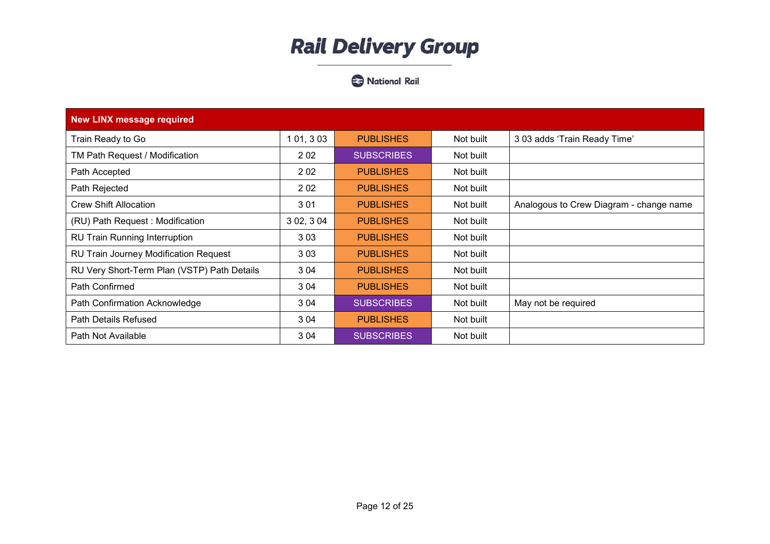National Rail

| <b>New LINX message required</b>            |            |                   |           |                                         |  |  |
|---------------------------------------------|------------|-------------------|-----------|-----------------------------------------|--|--|
| Train Ready to Go                           | 1 01, 3 03 | <b>PUBLISHES</b>  | Not built | 3 03 adds 'Train Ready Time'            |  |  |
| TM Path Request / Modification              | 202        | <b>SUBSCRIBES</b> | Not built |                                         |  |  |
| Path Accepted                               | 202        | <b>PUBLISHES</b>  | Not built |                                         |  |  |
| Path Rejected                               | 202        | <b>PUBLISHES</b>  | Not built |                                         |  |  |
| <b>Crew Shift Allocation</b>                | 301        | <b>PUBLISHES</b>  | Not built | Analogous to Crew Diagram - change name |  |  |
| (RU) Path Request: Modification             | 3 02, 3 04 | <b>PUBLISHES</b>  | Not built |                                         |  |  |
| <b>RU Train Running Interruption</b>        | 303        | <b>PUBLISHES</b>  | Not built |                                         |  |  |
| RU Train Journey Modification Request       | 303        | <b>PUBLISHES</b>  | Not built |                                         |  |  |
| RU Very Short-Term Plan (VSTP) Path Details | 3 0 4      | <b>PUBLISHES</b>  | Not built |                                         |  |  |
| Path Confirmed                              | 3 0 4      | <b>PUBLISHES</b>  | Not built |                                         |  |  |
| Path Confirmation Acknowledge               | 3 0 4      | <b>SUBSCRIBES</b> | Not built | May not be required                     |  |  |
| Path Details Refused                        | 3 0 4      | <b>PUBLISHES</b>  | Not built |                                         |  |  |
| Path Not Available                          | 3 0 4      | <b>SUBSCRIBES</b> | Not built |                                         |  |  |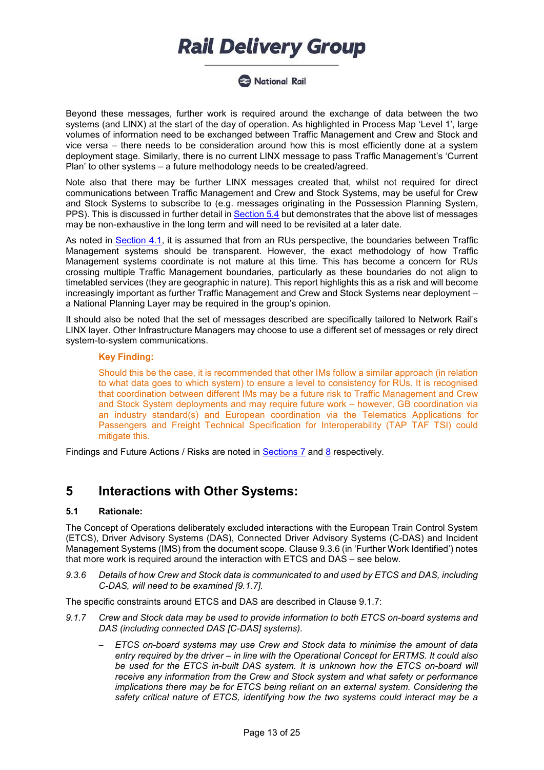**A** National Rail

Beyond these messages, further work is required around the exchange of data between the two systems (and LINX) at the start of the day of operation. As highlighted in Process Map 'Level 1', large volumes of information need to be exchanged between Traffic Management and Crew and Stock and vice versa – there needs to be consideration around how this is most efficiently done at a system deployment stage. Similarly, there is no current LINX message to pass Traffic Management's 'Current Plan' to other systems – a future methodology needs to be created/agreed.

Note also that there may be further LINX messages created that, whilst not required for direct communications between Traffic Management and Crew and Stock Systems, may be useful for Crew and Stock Systems to subscribe to (e.g. messages originating in the Possession Planning System, PPS). This is discussed in further detail in [Section 5.4](#page-17-0) but demonstrates that the above list of messages may be non-exhaustive in the long term and will need to be revisited at a later date.

As noted in [Section 4.1,](#page-5-2) it is assumed that from an RUs perspective, the boundaries between Traffic Management systems should be transparent. However, the exact methodology of how Traffic Management systems coordinate is not mature at this time. This has become a concern for RUs crossing multiple Traffic Management boundaries, particularly as these boundaries do not align to timetabled services (they are geographic in nature). This report highlights this as a risk and will become increasingly important as further Traffic Management and Crew and Stock Systems near deployment – a National Planning Layer may be required in the group's opinion.

It should also be noted that the set of messages described are specifically tailored to Network Rail's LINX layer. Other Infrastructure Managers may choose to use a different set of messages or rely direct system-to-system communications.

#### **Key Finding:**

Should this be the case, it is recommended that other IMs follow a similar approach (in relation to what data goes to which system) to ensure a level to consistency for RUs. It is recognised that coordination between different IMs may be a future risk to Traffic Management and Crew and Stock System deployments and may require future work – however, GB coordination via an industry standard(s) and European coordination via the Telematics Applications for Passengers and Freight Technical Specification for Interoperability (TAP TAF TSI) could mitigate this.

Findings and Future Actions / Risks are noted in [Sections](#page-21-0) 7 and [8](#page-21-1) respectively.

### <span id="page-12-0"></span>**5 Interactions with Other Systems:**

#### <span id="page-12-1"></span>**5.1 Rationale:**

The Concept of Operations deliberately excluded interactions with the European Train Control System (ETCS), Driver Advisory Systems (DAS), Connected Driver Advisory Systems (C-DAS) and Incident Management Systems (IMS) from the document scope. Clause 9.3.6 (in 'Further Work Identified') notes that more work is required around the interaction with ETCS and DAS – see below.

*9.3.6 Details of how Crew and Stock data is communicated to and used by ETCS and DAS, including C-DAS, will need to be examined [9.1.7].* 

The specific constraints around ETCS and DAS are described in Clause 9.1.7:

- *9.1.7 Crew and Stock data may be used to provide information to both ETCS on-board systems and DAS (including connected DAS [C-DAS] systems).* 
	- − *ETCS on-board systems may use Crew and Stock data to minimise the amount of data entry required by the driver – in line with the Operational Concept for ERTMS. It could also*  be used for the ETCS in-built DAS system. It is unknown how the ETCS on-board will *receive any information from the Crew and Stock system and what safety or performance implications there may be for ETCS being reliant on an external system. Considering the safety critical nature of ETCS, identifying how the two systems could interact may be a*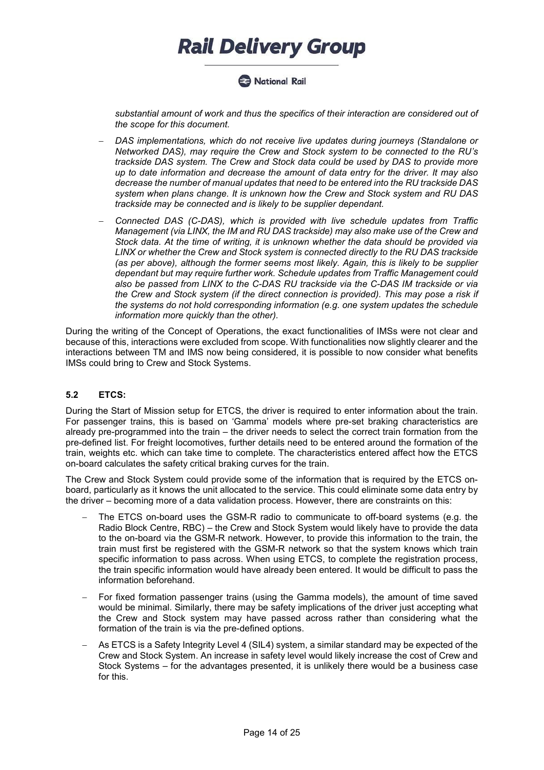National Rail

*substantial amount of work and thus the specifics of their interaction are considered out of the scope for this document.* 

- − *DAS implementations, which do not receive live updates during journeys (Standalone or Networked DAS), may require the Crew and Stock system to be connected to the RU's trackside DAS system. The Crew and Stock data could be used by DAS to provide more up to date information and decrease the amount of data entry for the driver. It may also decrease the number of manual updates that need to be entered into the RU trackside DAS system when plans change. It is unknown how the Crew and Stock system and RU DAS trackside may be connected and is likely to be supplier dependant.*
- − *Connected DAS (C-DAS), which is provided with live schedule updates from Traffic Management (via LINX, the IM and RU DAS trackside) may also make use of the Crew and Stock data. At the time of writing, it is unknown whether the data should be provided via LINX or whether the Crew and Stock system is connected directly to the RU DAS trackside (as per above), although the former seems most likely. Again, this is likely to be supplier dependant but may require further work. Schedule updates from Traffic Management could also be passed from LINX to the C-DAS RU trackside via the C-DAS IM trackside or via the Crew and Stock system (if the direct connection is provided). This may pose a risk if the systems do not hold corresponding information (e.g. one system updates the schedule information more quickly than the other).*

During the writing of the Concept of Operations, the exact functionalities of IMSs were not clear and because of this, interactions were excluded from scope. With functionalities now slightly clearer and the interactions between TM and IMS now being considered, it is possible to now consider what benefits IMSs could bring to Crew and Stock Systems.

#### <span id="page-13-0"></span>**5.2 ETCS:**

During the Start of Mission setup for ETCS, the driver is required to enter information about the train. For passenger trains, this is based on 'Gamma' models where pre-set braking characteristics are already pre-programmed into the train – the driver needs to select the correct train formation from the pre-defined list. For freight locomotives, further details need to be entered around the formation of the train, weights etc. which can take time to complete. The characteristics entered affect how the ETCS on-board calculates the safety critical braking curves for the train.

The Crew and Stock System could provide some of the information that is required by the ETCS onboard, particularly as it knows the unit allocated to the service. This could eliminate some data entry by the driver – becoming more of a data validation process. However, there are constraints on this:

- The ETCS on-board uses the GSM-R radio to communicate to off-board systems (e.g. the Radio Block Centre, RBC) – the Crew and Stock System would likely have to provide the data to the on-board via the GSM-R network. However, to provide this information to the train, the train must first be registered with the GSM-R network so that the system knows which train specific information to pass across. When using ETCS, to complete the registration process, the train specific information would have already been entered. It would be difficult to pass the information beforehand.
- For fixed formation passenger trains (using the Gamma models), the amount of time saved would be minimal. Similarly, there may be safety implications of the driver just accepting what the Crew and Stock system may have passed across rather than considering what the formation of the train is via the pre-defined options.
- As ETCS is a Safety Integrity Level 4 (SIL4) system, a similar standard may be expected of the Crew and Stock System. An increase in safety level would likely increase the cost of Crew and Stock Systems – for the advantages presented, it is unlikely there would be a business case for this.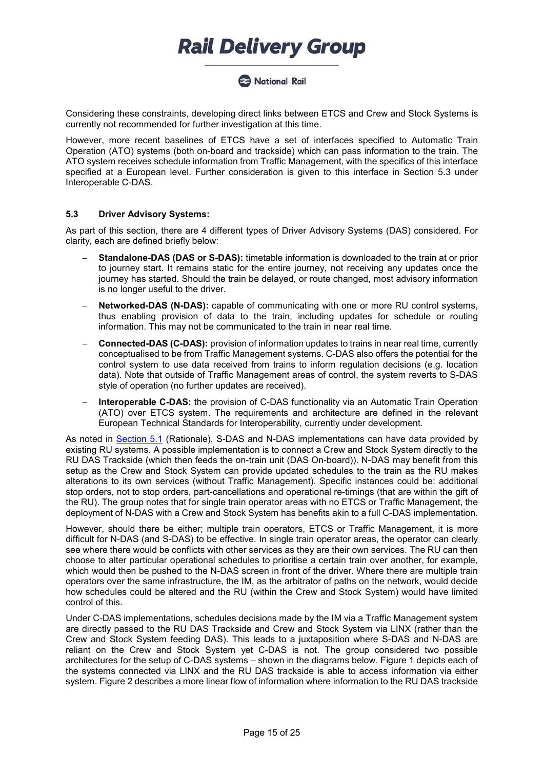**2** National Rail

Considering these constraints, developing direct links between ETCS and Crew and Stock Systems is currently not recommended for further investigation at this time.

However, more recent baselines of ETCS have a set of interfaces specified to Automatic Train Operation (ATO) systems (both on-board and trackside) which can pass information to the train. The ATO system receives schedule information from Traffic Management, with the specifics of this interface specified at a European level. Further consideration is given to this interface in Section 5.3 under Interoperable C-DAS.

#### <span id="page-14-0"></span>**5.3 Driver Advisory Systems:**

As part of this section, there are 4 different types of Driver Advisory Systems (DAS) considered. For clarity, each are defined briefly below:

- **Standalone-DAS (DAS or S-DAS):** timetable information is downloaded to the train at or prior to journey start. It remains static for the entire journey, not receiving any updates once the journey has started. Should the train be delayed, or route changed, most advisory information is no longer useful to the driver.
- **Networked-DAS (N-DAS):** capable of communicating with one or more RU control systems, thus enabling provision of data to the train, including updates for schedule or routing information. This may not be communicated to the train in near real time.
- − **Connected-DAS (C-DAS):** provision of information updates to trains in near real time, currently conceptualised to be from Traffic Management systems. C-DAS also offers the potential for the control system to use data received from trains to inform regulation decisions (e.g. location data). Note that outside of Traffic Management areas of control, the system reverts to S-DAS style of operation (no further updates are received).
- Interoperable C-DAS: the provision of C-DAS functionality via an Automatic Train Operation (ATO) over ETCS system. The requirements and architecture are defined in the relevant European Technical Standards for Interoperability, currently under development.

As noted in [Section 5.1](#page-12-1) (Rationale), S-DAS and N-DAS implementations can have data provided by existing RU systems. A possible implementation is to connect a Crew and Stock System directly to the RU DAS Trackside (which then feeds the on-train unit (DAS On-board)). N-DAS may benefit from this setup as the Crew and Stock System can provide updated schedules to the train as the RU makes alterations to its own services (without Traffic Management). Specific instances could be: additional stop orders, not to stop orders, part-cancellations and operational re-timings (that are within the gift of the RU). The group notes that for single train operator areas with no ETCS or Traffic Management, the deployment of N-DAS with a Crew and Stock System has benefits akin to a full C-DAS implementation.

However, should there be either; multiple train operators, ETCS or Traffic Management, it is more difficult for N-DAS (and S-DAS) to be effective. In single train operator areas, the operator can clearly see where there would be conflicts with other services as they are their own services. The RU can then choose to alter particular operational schedules to prioritise a certain train over another, for example, which would then be pushed to the N-DAS screen in front of the driver. Where there are multiple train operators over the same infrastructure, the IM, as the arbitrator of paths on the network, would decide how schedules could be altered and the RU (within the Crew and Stock System) would have limited control of this.

Under C-DAS implementations, schedules decisions made by the IM via a Traffic Management system are directly passed to the RU DAS Trackside and Crew and Stock System via LINX (rather than the Crew and Stock System feeding DAS). This leads to a juxtaposition where S-DAS and N-DAS are reliant on the Crew and Stock System yet C-DAS is not. The group considered two possible architectures for the setup of C-DAS systems – shown in the diagrams below. Figure 1 depicts each of the systems connected via LINX and the RU DAS trackside is able to access information via either system. Figure 2 describes a more linear flow of information where information to the RU DAS trackside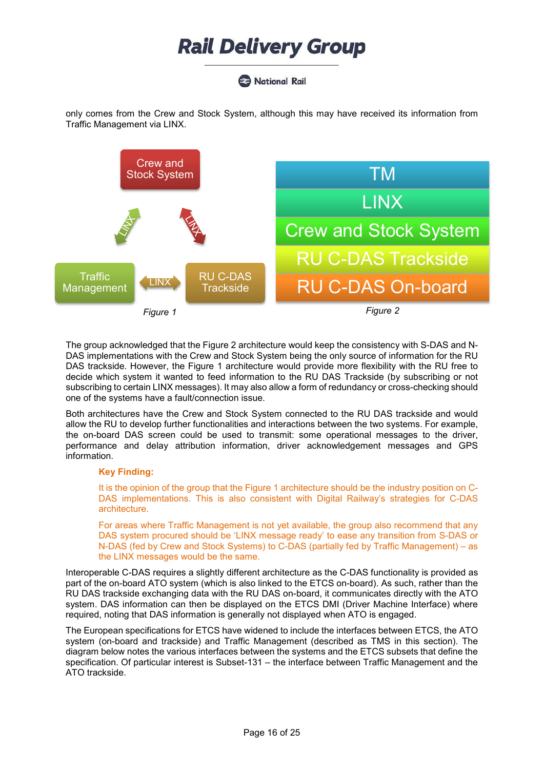**2** National Rail

only comes from the Crew and Stock System, although this may have received its information from Traffic Management via LINX.



The group acknowledged that the Figure 2 architecture would keep the consistency with S-DAS and N-DAS implementations with the Crew and Stock System being the only source of information for the RU DAS trackside. However, the Figure 1 architecture would provide more flexibility with the RU free to decide which system it wanted to feed information to the RU DAS Trackside (by subscribing or not subscribing to certain LINX messages). It may also allow a form of redundancy or cross-checking should one of the systems have a fault/connection issue.

Both architectures have the Crew and Stock System connected to the RU DAS trackside and would allow the RU to develop further functionalities and interactions between the two systems. For example, the on-board DAS screen could be used to transmit: some operational messages to the driver, performance and delay attribution information, driver acknowledgement messages and GPS information.

#### **Key Finding:**

It is the opinion of the group that the Figure 1 architecture should be the industry position on C-DAS implementations. This is also consistent with Digital Railway's strategies for C-DAS architecture.

For areas where Traffic Management is not yet available, the group also recommend that any DAS system procured should be 'LINX message ready' to ease any transition from S-DAS or N-DAS (fed by Crew and Stock Systems) to C-DAS (partially fed by Traffic Management) – as the LINX messages would be the same.

Interoperable C-DAS requires a slightly different architecture as the C-DAS functionality is provided as part of the on-board ATO system (which is also linked to the ETCS on-board). As such, rather than the RU DAS trackside exchanging data with the RU DAS on-board, it communicates directly with the ATO system. DAS information can then be displayed on the ETCS DMI (Driver Machine Interface) where required, noting that DAS information is generally not displayed when ATO is engaged.

The European specifications for ETCS have widened to include the interfaces between ETCS, the ATO system (on-board and trackside) and Traffic Management (described as TMS in this section). The diagram below notes the various interfaces between the systems and the ETCS subsets that define the specification. Of particular interest is Subset-131 – the interface between Traffic Management and the ATO trackside.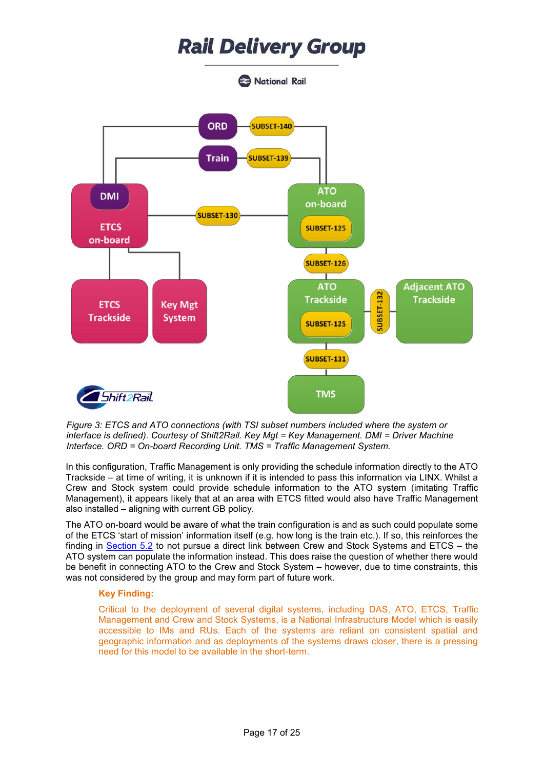

*Figure 3: ETCS and ATO connections (with TSI subset numbers included where the system or interface is defined). Courtesy of Shift2Rail. Key Mgt = Key Management. DMI = Driver Machine Interface. ORD = On-board Recording Unit. TMS = Traffic Management System.* 

In this configuration, Traffic Management is only providing the schedule information directly to the ATO Trackside – at time of writing, it is unknown if it is intended to pass this information via LINX. Whilst a Crew and Stock system could provide schedule information to the ATO system (imitating Traffic Management), it appears likely that at an area with ETCS fitted would also have Traffic Management also installed – aligning with current GB policy.

The ATO on-board would be aware of what the train configuration is and as such could populate some of the ETCS 'start of mission' information itself (e.g. how long is the train etc.). If so, this reinforces the finding in [Section 5.2](#page-13-0) to not pursue a direct link between Crew and Stock Systems and ETCS – the ATO system can populate the information instead. This does raise the question of whether there would be benefit in connecting ATO to the Crew and Stock System – however, due to time constraints, this was not considered by the group and may form part of future work.

#### **Key Finding:**

Critical to the deployment of several digital systems, including DAS, ATO, ETCS, Traffic Management and Crew and Stock Systems, is a National Infrastructure Model which is easily accessible to IMs and RUs. Each of the systems are reliant on consistent spatial and geographic information and as deployments of the systems draws closer, there is a pressing need for this model to be available in the short-term.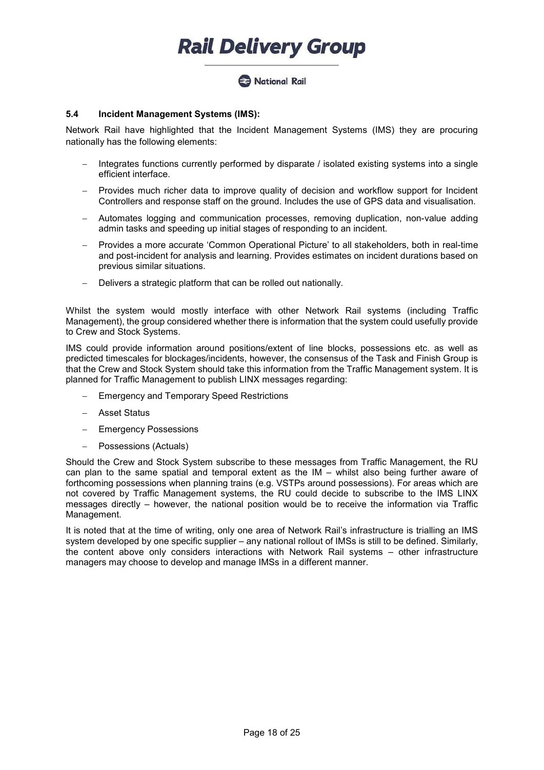#### **2** National Rail

#### <span id="page-17-0"></span>**5.4 Incident Management Systems (IMS):**

Network Rail have highlighted that the Incident Management Systems (IMS) they are procuring nationally has the following elements:

- Integrates functions currently performed by disparate / isolated existing systems into a single efficient interface.
- Provides much richer data to improve quality of decision and workflow support for Incident Controllers and response staff on the ground. Includes the use of GPS data and visualisation.
- − Automates logging and communication processes, removing duplication, non-value adding admin tasks and speeding up initial stages of responding to an incident.
- − Provides a more accurate 'Common Operational Picture' to all stakeholders, both in real-time and post-incident for analysis and learning. Provides estimates on incident durations based on previous similar situations.
- − Delivers a strategic platform that can be rolled out nationally.

Whilst the system would mostly interface with other Network Rail systems (including Traffic Management), the group considered whether there is information that the system could usefully provide to Crew and Stock Systems.

IMS could provide information around positions/extent of line blocks, possessions etc. as well as predicted timescales for blockages/incidents, however, the consensus of the Task and Finish Group is that the Crew and Stock System should take this information from the Traffic Management system. It is planned for Traffic Management to publish LINX messages regarding:

- Emergency and Temporary Speed Restrictions
- − Asset Status
- Emergency Possessions
- − Possessions (Actuals)

Should the Crew and Stock System subscribe to these messages from Traffic Management, the RU can plan to the same spatial and temporal extent as the IM – whilst also being further aware of forthcoming possessions when planning trains (e.g. VSTPs around possessions). For areas which are not covered by Traffic Management systems, the RU could decide to subscribe to the IMS LINX messages directly – however, the national position would be to receive the information via Traffic Management.

It is noted that at the time of writing, only one area of Network Rail's infrastructure is trialling an IMS system developed by one specific supplier – any national rollout of IMSs is still to be defined. Similarly, the content above only considers interactions with Network Rail systems – other infrastructure managers may choose to develop and manage IMSs in a different manner.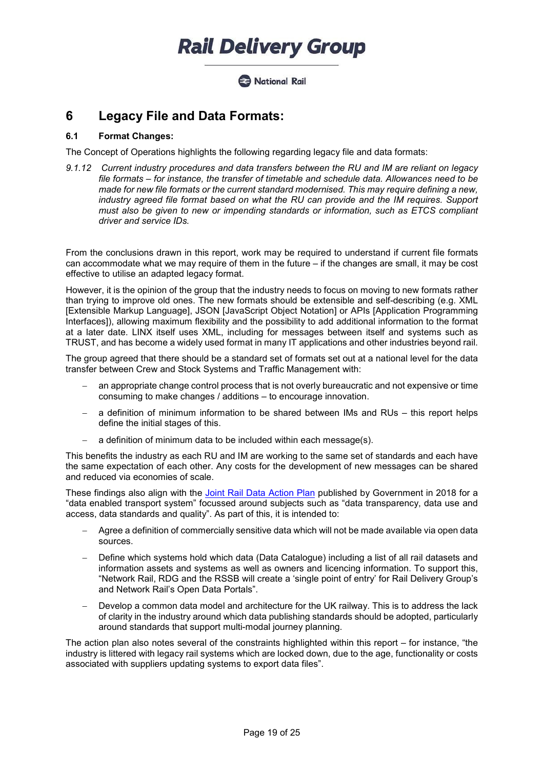**2** National Rail

### <span id="page-18-0"></span>**6 Legacy File and Data Formats:**

#### <span id="page-18-1"></span>**6.1 Format Changes:**

The Concept of Operations highlights the following regarding legacy file and data formats:

*9.1.12 Current industry procedures and data transfers between the RU and IM are reliant on legacy file formats – for instance, the transfer of timetable and schedule data. Allowances need to be made for new file formats or the current standard modernised. This may require defining a new, industry agreed file format based on what the RU can provide and the IM requires. Support must also be given to new or impending standards or information, such as ETCS compliant driver and service IDs.*

From the conclusions drawn in this report, work may be required to understand if current file formats can accommodate what we may require of them in the future – if the changes are small, it may be cost effective to utilise an adapted legacy format.

However, it is the opinion of the group that the industry needs to focus on moving to new formats rather than trying to improve old ones. The new formats should be extensible and self-describing (e.g. XML [Extensible Markup Language], JSON [JavaScript Object Notation] or APIs [Application Programming Interfaces]), allowing maximum flexibility and the possibility to add additional information to the format at a later date. LINX itself uses XML, including for messages between itself and systems such as TRUST, and has become a widely used format in many IT applications and other industries beyond rail.

The group agreed that there should be a standard set of formats set out at a national level for the data transfer between Crew and Stock Systems and Traffic Management with:

- an appropriate change control process that is not overly bureaucratic and not expensive or time consuming to make changes / additions – to encourage innovation.
- a definition of minimum information to be shared between IMs and RUs this report helps define the initial stages of this.
- a definition of minimum data to be included within each message(s).

This benefits the industry as each RU and IM are working to the same set of standards and each have the same expectation of each other. Any costs for the development of new messages can be shared and reduced via economies of scale.

These findings also align with the [Joint Rail Data Action Plan](https://assets.publishing.service.gov.uk/government/uploads/system/uploads/attachment_data/file/733043/joint-rail-data-action-plan-2018.pdf) published by Government in 2018 for a "data enabled transport system" focussed around subjects such as "data transparency, data use and access, data standards and quality". As part of this, it is intended to:

- − Agree a definition of commercially sensitive data which will not be made available via open data sources.
- Define which systems hold which data (Data Catalogue) including a list of all rail datasets and information assets and systems as well as owners and licencing information. To support this, "Network Rail, RDG and the RSSB will create a 'single point of entry' for Rail Delivery Group's and Network Rail's Open Data Portals".
- Develop a common data model and architecture for the UK railway. This is to address the lack of clarity in the industry around which data publishing standards should be adopted, particularly around standards that support multi-modal journey planning.

The action plan also notes several of the constraints highlighted within this report – for instance, "the industry is littered with legacy rail systems which are locked down, due to the age, functionality or costs associated with suppliers updating systems to export data files".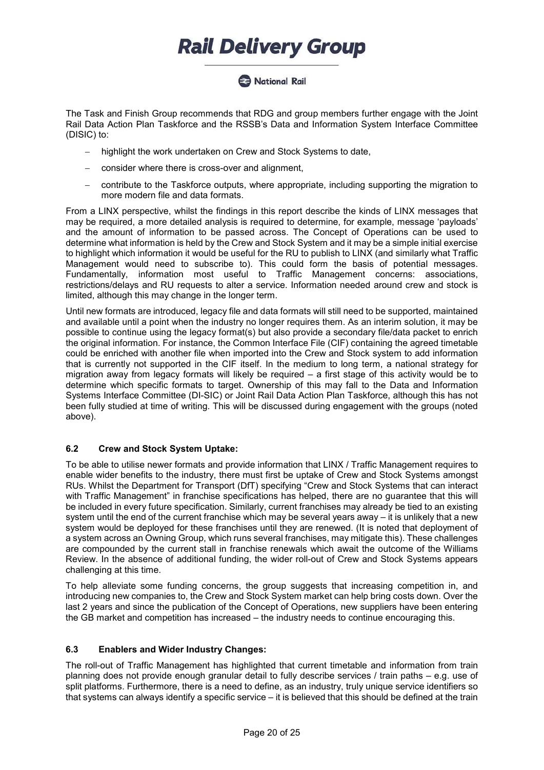**2** National Rail

The Task and Finish Group recommends that RDG and group members further engage with the Joint Rail Data Action Plan Taskforce and the RSSB's Data and Information System Interface Committee (DISIC) to:

- − highlight the work undertaken on Crew and Stock Systems to date,
- consider where there is cross-over and alignment,
- − contribute to the Taskforce outputs, where appropriate, including supporting the migration to more modern file and data formats.

From a LINX perspective, whilst the findings in this report describe the kinds of LINX messages that may be required, a more detailed analysis is required to determine, for example, message 'payloads' and the amount of information to be passed across. The Concept of Operations can be used to determine what information is held by the Crew and Stock System and it may be a simple initial exercise to highlight which information it would be useful for the RU to publish to LINX (and similarly what Traffic Management would need to subscribe to). This could form the basis of potential messages. Fundamentally, information most useful to Traffic Management concerns: associations, restrictions/delays and RU requests to alter a service. Information needed around crew and stock is limited, although this may change in the longer term.

Until new formats are introduced, legacy file and data formats will still need to be supported, maintained and available until a point when the industry no longer requires them. As an interim solution, it may be possible to continue using the legacy format(s) but also provide a secondary file/data packet to enrich the original information. For instance, the Common Interface File (CIF) containing the agreed timetable could be enriched with another file when imported into the Crew and Stock system to add information that is currently not supported in the CIF itself. In the medium to long term, a national strategy for migration away from legacy formats will likely be required – a first stage of this activity would be to determine which specific formats to target. Ownership of this may fall to the Data and Information Systems Interface Committee (DI-SIC) or Joint Rail Data Action Plan Taskforce, although this has not been fully studied at time of writing. This will be discussed during engagement with the groups (noted above).

#### <span id="page-19-0"></span>**6.2 Crew and Stock System Uptake:**

To be able to utilise newer formats and provide information that LINX / Traffic Management requires to enable wider benefits to the industry, there must first be uptake of Crew and Stock Systems amongst RUs. Whilst the Department for Transport (DfT) specifying "Crew and Stock Systems that can interact with Traffic Management" in franchise specifications has helped, there are no guarantee that this will be included in every future specification. Similarly, current franchises may already be tied to an existing system until the end of the current franchise which may be several years away – it is unlikely that a new system would be deployed for these franchises until they are renewed. (It is noted that deployment of a system across an Owning Group, which runs several franchises, may mitigate this). These challenges are compounded by the current stall in franchise renewals which await the outcome of the Williams Review. In the absence of additional funding, the wider roll-out of Crew and Stock Systems appears challenging at this time.

To help alleviate some funding concerns, the group suggests that increasing competition in, and introducing new companies to, the Crew and Stock System market can help bring costs down. Over the last 2 years and since the publication of the Concept of Operations, new suppliers have been entering the GB market and competition has increased – the industry needs to continue encouraging this.

#### <span id="page-19-1"></span>**6.3 Enablers and Wider Industry Changes:**

The roll-out of Traffic Management has highlighted that current timetable and information from train planning does not provide enough granular detail to fully describe services / train paths – e.g. use of split platforms. Furthermore, there is a need to define, as an industry, truly unique service identifiers so that systems can always identify a specific service – it is believed that this should be defined at the train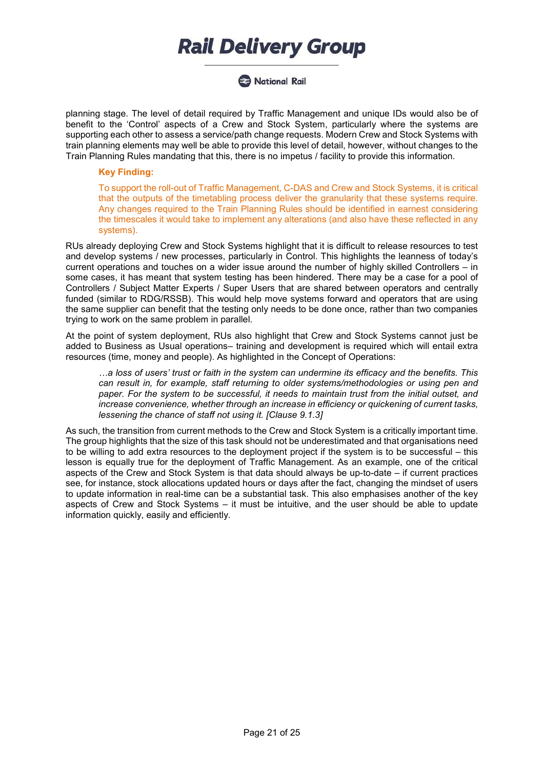National Rail

planning stage. The level of detail required by Traffic Management and unique IDs would also be of benefit to the 'Control' aspects of a Crew and Stock System, particularly where the systems are supporting each other to assess a service/path change requests. Modern Crew and Stock Systems with train planning elements may well be able to provide this level of detail, however, without changes to the Train Planning Rules mandating that this, there is no impetus / facility to provide this information.

#### **Key Finding:**

To support the roll-out of Traffic Management, C-DAS and Crew and Stock Systems, it is critical that the outputs of the timetabling process deliver the granularity that these systems require. Any changes required to the Train Planning Rules should be identified in earnest considering the timescales it would take to implement any alterations (and also have these reflected in any systems).

RUs already deploying Crew and Stock Systems highlight that it is difficult to release resources to test and develop systems / new processes, particularly in Control. This highlights the leanness of today's current operations and touches on a wider issue around the number of highly skilled Controllers – in some cases, it has meant that system testing has been hindered. There may be a case for a pool of Controllers / Subject Matter Experts / Super Users that are shared between operators and centrally funded (similar to RDG/RSSB). This would help move systems forward and operators that are using the same supplier can benefit that the testing only needs to be done once, rather than two companies trying to work on the same problem in parallel.

At the point of system deployment, RUs also highlight that Crew and Stock Systems cannot just be added to Business as Usual operations– training and development is required which will entail extra resources (time, money and people). As highlighted in the Concept of Operations:

*…a loss of users' trust or faith in the system can undermine its efficacy and the benefits. This can result in, for example, staff returning to older systems/methodologies or using pen and paper. For the system to be successful, it needs to maintain trust from the initial outset, and increase convenience, whether through an increase in efficiency or quickening of current tasks, lessening the chance of staff not using it. [Clause 9.1.3]*

As such, the transition from current methods to the Crew and Stock System is a critically important time. The group highlights that the size of this task should not be underestimated and that organisations need to be willing to add extra resources to the deployment project if the system is to be successful – this lesson is equally true for the deployment of Traffic Management. As an example, one of the critical aspects of the Crew and Stock System is that data should always be up-to-date – if current practices see, for instance, stock allocations updated hours or days after the fact, changing the mindset of users to update information in real-time can be a substantial task. This also emphasises another of the key aspects of Crew and Stock Systems – it must be intuitive, and the user should be able to update information quickly, easily and efficiently.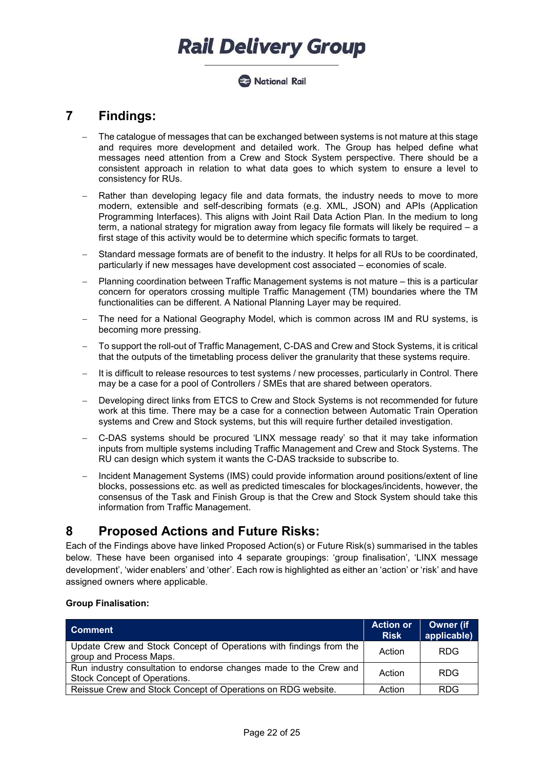#### **2** National Rail

### <span id="page-21-0"></span>**7 Findings:**

- The catalogue of messages that can be exchanged between systems is not mature at this stage and requires more development and detailed work. The Group has helped define what messages need attention from a Crew and Stock System perspective. There should be a consistent approach in relation to what data goes to which system to ensure a level to consistency for RUs.
- Rather than developing legacy file and data formats, the industry needs to move to more modern, extensible and self-describing formats (e.g. XML, JSON) and APIs (Application Programming Interfaces). This aligns with Joint Rail Data Action Plan. In the medium to long term, a national strategy for migration away from legacy file formats will likely be required – a first stage of this activity would be to determine which specific formats to target.
- Standard message formats are of benefit to the industry. It helps for all RUs to be coordinated, particularly if new messages have development cost associated – economies of scale.
- Planning coordination between Traffic Management systems is not mature this is a particular concern for operators crossing multiple Traffic Management (TM) boundaries where the TM functionalities can be different. A National Planning Layer may be required.
- The need for a National Geography Model, which is common across IM and RU systems, is becoming more pressing.
- − To support the roll-out of Traffic Management, C-DAS and Crew and Stock Systems, it is critical that the outputs of the timetabling process deliver the granularity that these systems require.
- It is difficult to release resources to test systems / new processes, particularly in Control. There may be a case for a pool of Controllers / SMEs that are shared between operators.
- Developing direct links from ETCS to Crew and Stock Systems is not recommended for future work at this time. There may be a case for a connection between Automatic Train Operation systems and Crew and Stock systems, but this will require further detailed investigation.
- − C-DAS systems should be procured 'LINX message ready' so that it may take information inputs from multiple systems including Traffic Management and Crew and Stock Systems. The RU can design which system it wants the C-DAS trackside to subscribe to.
- − Incident Management Systems (IMS) could provide information around positions/extent of line blocks, possessions etc. as well as predicted timescales for blockages/incidents, however, the consensus of the Task and Finish Group is that the Crew and Stock System should take this information from Traffic Management.

### <span id="page-21-1"></span>**8 Proposed Actions and Future Risks:**

Each of the Findings above have linked Proposed Action(s) or Future Risk(s) summarised in the tables below. These have been organised into 4 separate groupings: 'group finalisation', 'LINX message development', 'wider enablers' and 'other'. Each row is highlighted as either an 'action' or 'risk' and have assigned owners where applicable.

#### **Group Finalisation:**

| <b>Comment</b>                                                                                    | <b>Action or</b><br><b>Risk</b> | Owner (if<br>applicable) |
|---------------------------------------------------------------------------------------------------|---------------------------------|--------------------------|
| Update Crew and Stock Concept of Operations with findings from the<br>group and Process Maps.     | Action                          | <b>RDG</b>               |
| Run industry consultation to endorse changes made to the Crew and<br>Stock Concept of Operations. | Action                          | <b>RDG</b>               |
| Reissue Crew and Stock Concept of Operations on RDG website.                                      | Action                          | <b>RDG</b>               |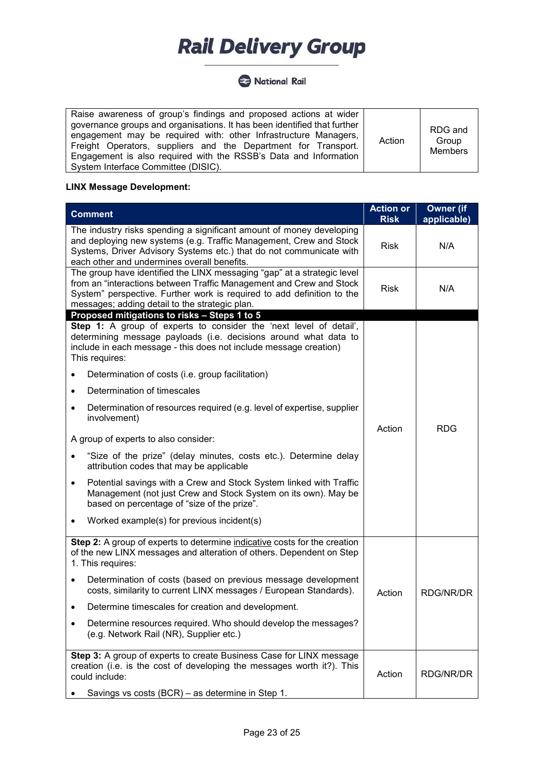#### National Rail

| Raise awareness of group's findings and proposed actions at wider        |        |                |
|--------------------------------------------------------------------------|--------|----------------|
|                                                                          |        |                |
| governance groups and organisations. It has been identified that further |        |                |
|                                                                          |        | RDG and        |
| engagement may be required with: other Infrastructure Managers,          | Action |                |
| Freight Operators, suppliers and the Department for Transport.           |        | Group          |
|                                                                          |        | <b>Members</b> |
| Engagement is also required with the RSSB's Data and Information         |        |                |
|                                                                          |        |                |
| System Interface Committee (DISIC).                                      |        |                |

#### **LINX Message Development:**

| <b>Comment</b>                                                                                                                                                                                                                                                             | <b>Action or</b><br><b>Risk</b> | <b>Owner</b> (if<br>applicable) |
|----------------------------------------------------------------------------------------------------------------------------------------------------------------------------------------------------------------------------------------------------------------------------|---------------------------------|---------------------------------|
| The industry risks spending a significant amount of money developing<br>and deploying new systems (e.g. Traffic Management, Crew and Stock<br>Systems, Driver Advisory Systems etc.) that do not communicate with<br>each other and undermines overall benefits.           | <b>Risk</b>                     | N/A                             |
| The group have identified the LINX messaging "gap" at a strategic level<br>from an "interactions between Traffic Management and Crew and Stock<br>System" perspective. Further work is required to add definition to the<br>messages; adding detail to the strategic plan. | <b>Risk</b>                     | N/A                             |
| Proposed mitigations to risks - Steps 1 to 5<br>Step 1: A group of experts to consider the 'next level of detail',                                                                                                                                                         |                                 |                                 |
| determining message payloads (i.e. decisions around what data to<br>include in each message - this does not include message creation)<br>This requires:                                                                                                                    |                                 |                                 |
| Determination of costs (i.e. group facilitation)<br>٠                                                                                                                                                                                                                      |                                 |                                 |
| Determination of timescales<br>٠                                                                                                                                                                                                                                           |                                 |                                 |
| Determination of resources required (e.g. level of expertise, supplier<br>$\bullet$<br>involvement)                                                                                                                                                                        | Action                          | <b>RDG</b>                      |
| A group of experts to also consider:                                                                                                                                                                                                                                       |                                 |                                 |
| "Size of the prize" (delay minutes, costs etc.). Determine delay<br>attribution codes that may be applicable                                                                                                                                                               |                                 |                                 |
| Potential savings with a Crew and Stock System linked with Traffic<br>$\bullet$<br>Management (not just Crew and Stock System on its own). May be<br>based on percentage of "size of the prize".                                                                           |                                 |                                 |
| Worked example(s) for previous incident(s)                                                                                                                                                                                                                                 |                                 |                                 |
| Step 2: A group of experts to determine indicative costs for the creation<br>of the new LINX messages and alteration of others. Dependent on Step<br>1. This requires:                                                                                                     |                                 |                                 |
| Determination of costs (based on previous message development<br>$\bullet$<br>costs, similarity to current LINX messages / European Standards).                                                                                                                            | Action                          | <b>RDG/NR/DR</b>                |
| Determine timescales for creation and development.                                                                                                                                                                                                                         |                                 |                                 |
| Determine resources required. Who should develop the messages?<br>(e.g. Network Rail (NR), Supplier etc.)                                                                                                                                                                  |                                 |                                 |
| Step 3: A group of experts to create Business Case for LINX message<br>creation (i.e. is the cost of developing the messages worth it?). This<br>could include:                                                                                                            | Action                          | RDG/NR/DR                       |
| Savings vs costs (BCR) – as determine in Step 1.                                                                                                                                                                                                                           |                                 |                                 |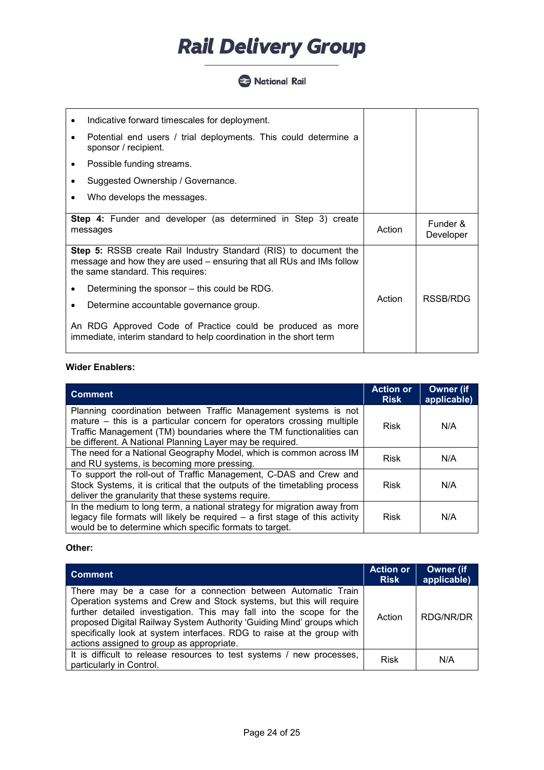#### National Rail

|                                                                                                                                                                                      | Indicative forward timescales for deployment.                                                                                    |        |                       |
|--------------------------------------------------------------------------------------------------------------------------------------------------------------------------------------|----------------------------------------------------------------------------------------------------------------------------------|--------|-----------------------|
|                                                                                                                                                                                      | Potential end users / trial deployments. This could determine a<br>sponsor / recipient.                                          |        |                       |
|                                                                                                                                                                                      | Possible funding streams.                                                                                                        |        |                       |
|                                                                                                                                                                                      | Suggested Ownership / Governance.                                                                                                |        |                       |
|                                                                                                                                                                                      | Who develops the messages.                                                                                                       |        |                       |
|                                                                                                                                                                                      | <b>Step 4:</b> Funder and developer (as determined in Step 3) create<br>messages                                                 | Action | Funder &<br>Developer |
| <b>Step 5:</b> RSSB create Rail Industry Standard (RIS) to document the<br>message and how they are used – ensuring that all RUs and IMs follow<br>the same standard. This requires: |                                                                                                                                  |        |                       |
|                                                                                                                                                                                      | Determining the sponsor – this could be RDG.                                                                                     |        |                       |
|                                                                                                                                                                                      | Determine accountable governance group.                                                                                          | Action | RSSB/RDG              |
|                                                                                                                                                                                      | An RDG Approved Code of Practice could be produced as more<br>immediate, interim standard to help coordination in the short term |        |                       |

#### **Wider Enablers:**

| <b>Comment</b>                                                                                                                                                                                                                                                              | <b>Action or</b><br><b>Risk</b> | <b>Owner</b> (if<br>applicable) |
|-----------------------------------------------------------------------------------------------------------------------------------------------------------------------------------------------------------------------------------------------------------------------------|---------------------------------|---------------------------------|
| Planning coordination between Traffic Management systems is not<br>mature – this is a particular concern for operators crossing multiple<br>Traffic Management (TM) boundaries where the TM functionalities can<br>be different. A National Planning Layer may be required. | <b>Risk</b>                     | N/A                             |
| The need for a National Geography Model, which is common across IM<br>and RU systems, is becoming more pressing.                                                                                                                                                            | <b>Risk</b>                     | N/A                             |
| To support the roll-out of Traffic Management, C-DAS and Crew and<br>Stock Systems, it is critical that the outputs of the timetabling process<br>deliver the granularity that these systems require.                                                                       | <b>Risk</b>                     | N/A                             |
| In the medium to long term, a national strategy for migration away from<br>legacy file formats will likely be required $-$ a first stage of this activity<br>would be to determine which specific formats to target.                                                        | <b>Risk</b>                     | N/A                             |

#### **Other:**

| <b>Comment</b>                                                                                                                                                                                                                                                                                                                                                                                              | <b>Action or</b><br><b>Risk</b> | <b>Owner (if</b><br>applicable) |
|-------------------------------------------------------------------------------------------------------------------------------------------------------------------------------------------------------------------------------------------------------------------------------------------------------------------------------------------------------------------------------------------------------------|---------------------------------|---------------------------------|
| There may be a case for a connection between Automatic Train<br>Operation systems and Crew and Stock systems, but this will require<br>further detailed investigation. This may fall into the scope for the<br>proposed Digital Railway System Authority 'Guiding Mind' groups which<br>specifically look at system interfaces. RDG to raise at the group with<br>actions assigned to group as appropriate. | Action                          | RDG/NR/DR                       |
| It is difficult to release resources to test systems / new processes,<br>particularly in Control.                                                                                                                                                                                                                                                                                                           | <b>Risk</b>                     | N/A                             |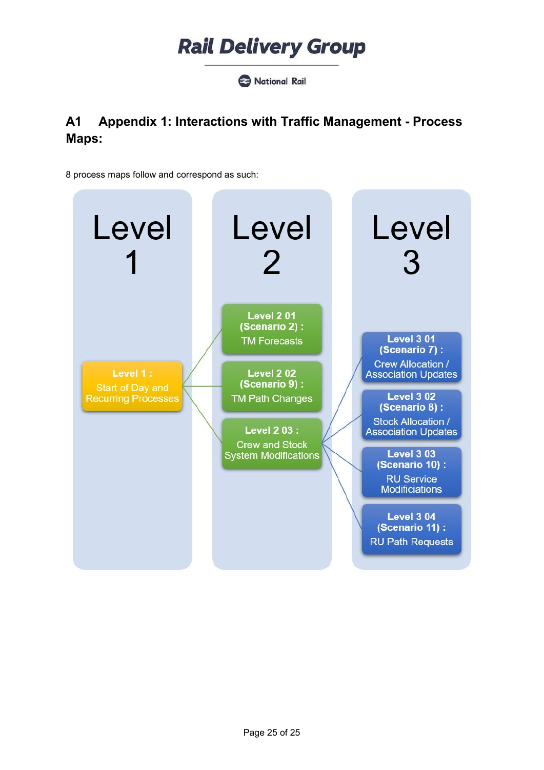National Rail

### <span id="page-24-0"></span>**A1 Appendix 1: Interactions with Traffic Management - Process Maps:**

8 process maps follow and correspond as such:

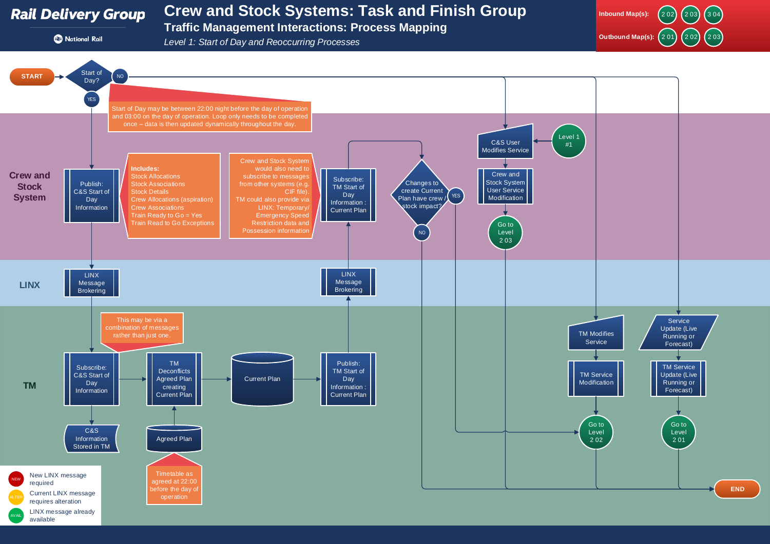# **Crew and Stock Systems: Task and Finish Group**

**B** National Rail

**Traffic Management Interactions: Process Mapping**

*Level 1: Start of Day and Reoccurring Processes*

<span id="page-25-0"></span>

**Inbound Map(s):**

 $(202)$   $(203)$   $(304)$ 

[2 01](#page-26-0)) ([2 02](#page-27-0)) ([2 03](#page-28-0)

**Outbound Map(s):**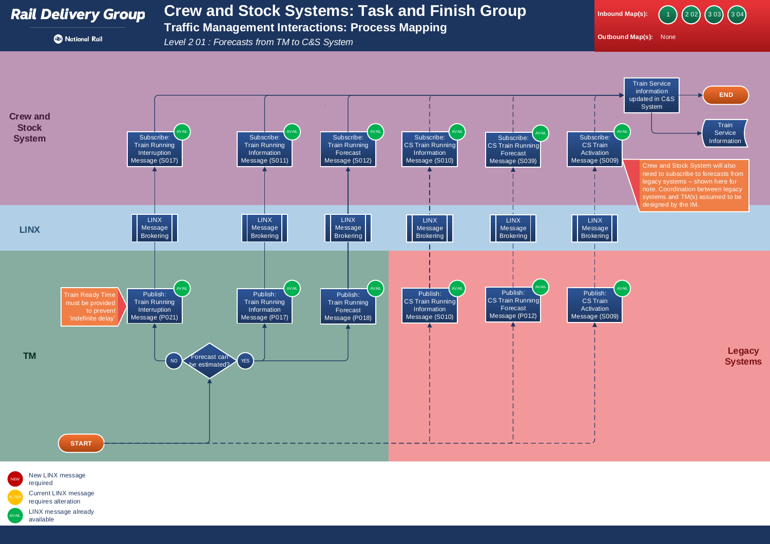<span id="page-26-0"></span>

AVAIL

Current LINX message requires alteration LINX message already

available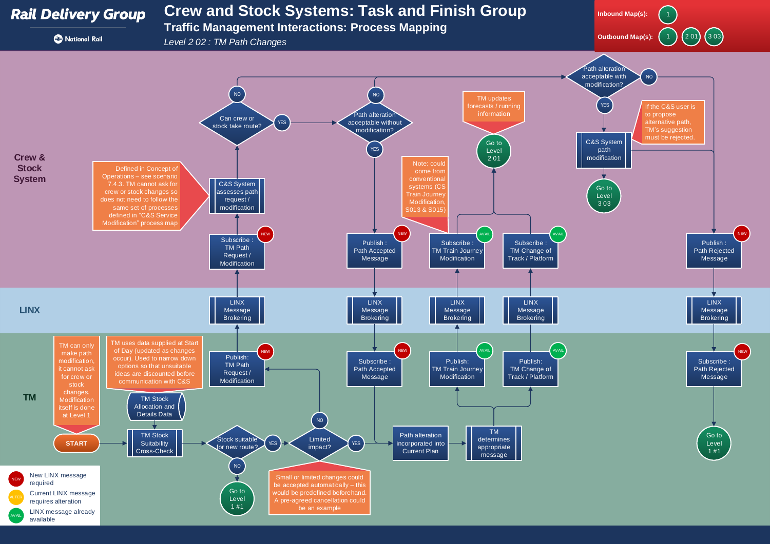<span id="page-27-0"></span>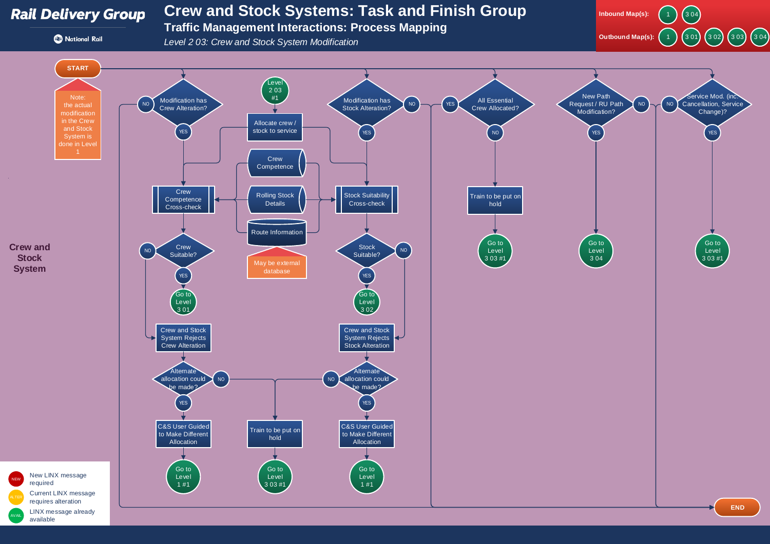<span id="page-28-0"></span>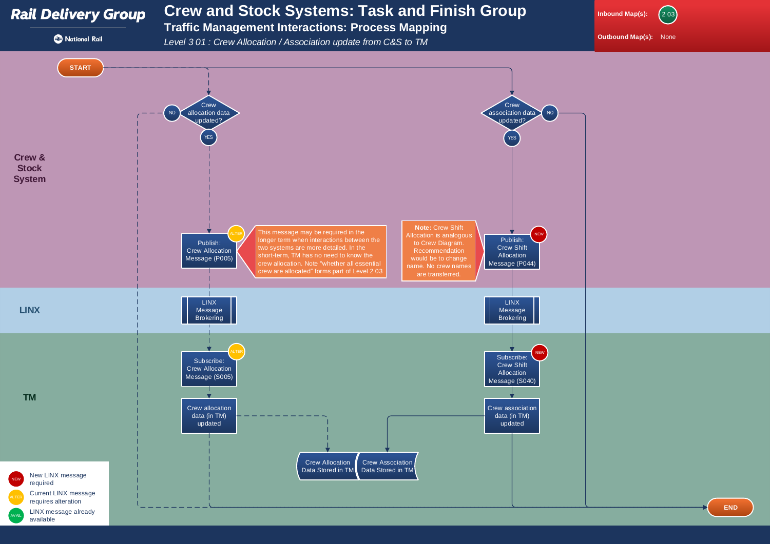# **Crew and Stock Systems: Task and Finish Group**

**Traffic Management Interactions: Process Mapping**

**B** National Rail

*Level 3 01 : Crew Allocation / Association update from C&S to TM*

**END**

<span id="page-29-0"></span>

**Inbound Map(s):**

**Outbound Map(s):** None

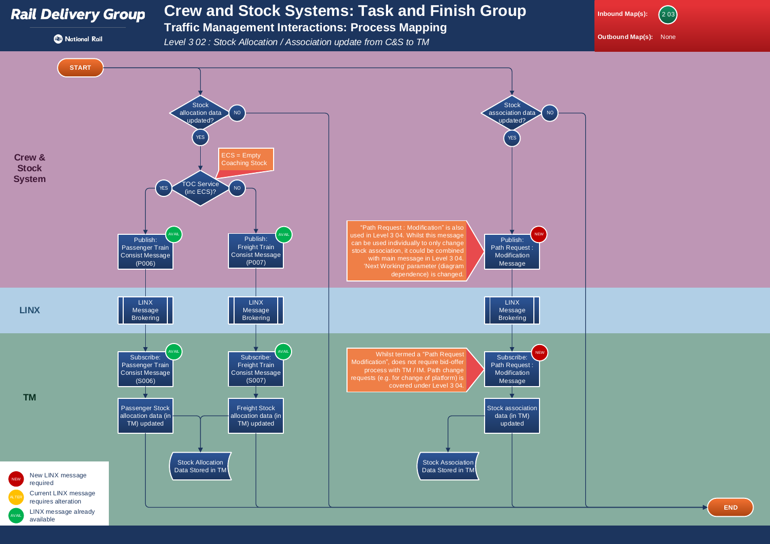**B** National Rail

# **Crew and Stock Systems: Task and Finish Group**

**Traffic Management Interactions: Process Mapping**

*Level 3 02 : Stock Allocation / Association update from C&S to TM*

**END**

<span id="page-30-0"></span>

**Inbound Map(s):**

**Outbound Map(s):** None

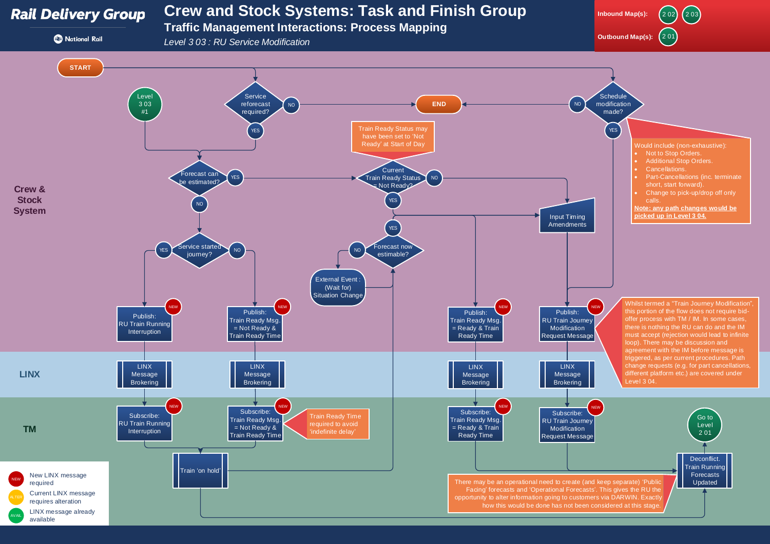**B** National Rail

<span id="page-31-0"></span>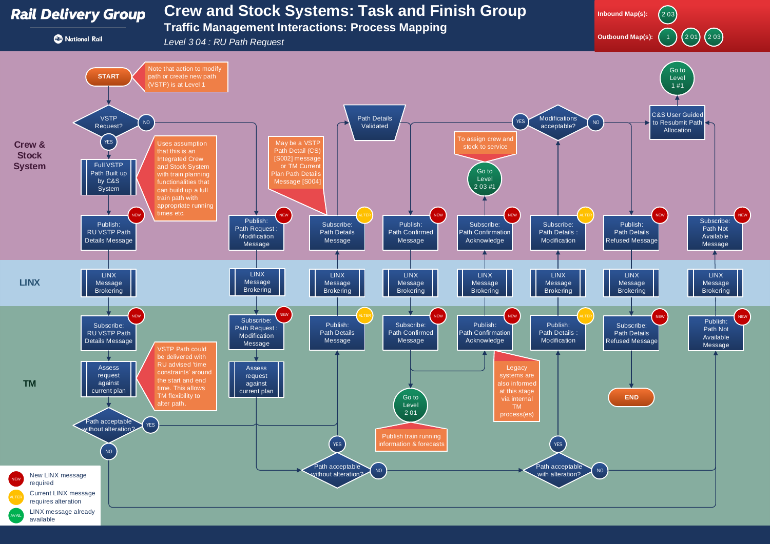<span id="page-32-0"></span>